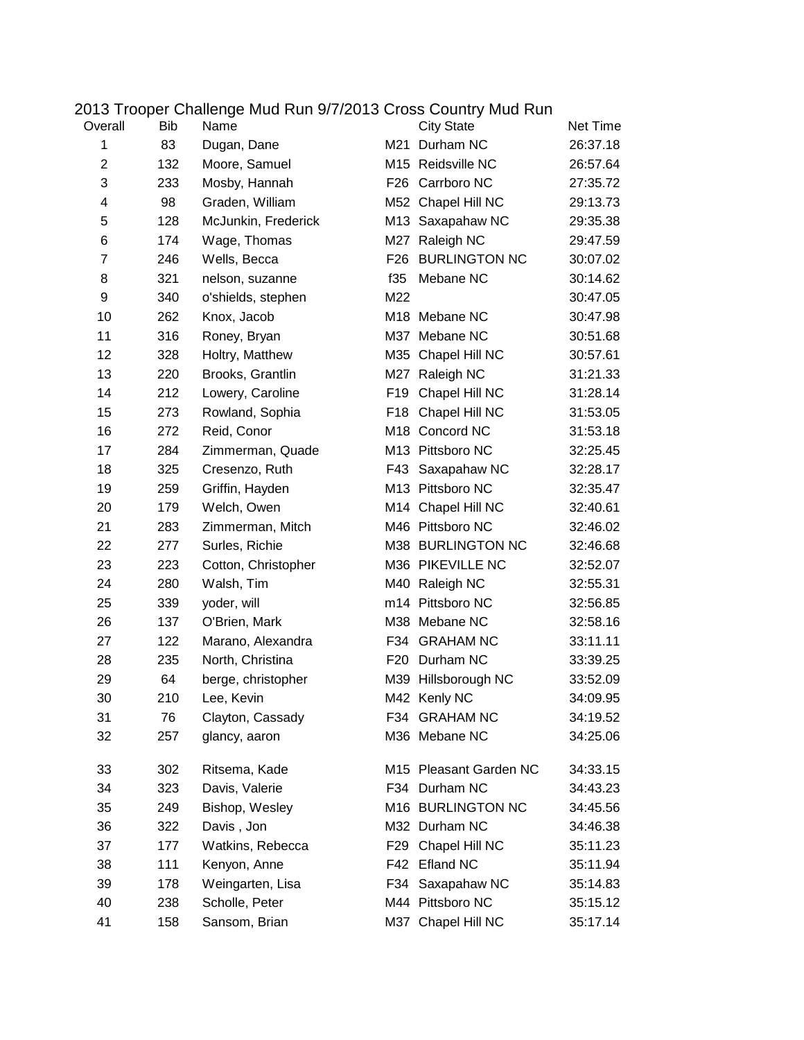| Overall      | Bib | Name                |                 | <b>City State</b>      | Net Time |
|--------------|-----|---------------------|-----------------|------------------------|----------|
| $\mathbf{1}$ | 83  | Dugan, Dane         |                 | M21 Durham NC          | 26:37.18 |
| 2            | 132 | Moore, Samuel       |                 | M15 Reidsville NC      | 26:57.64 |
| 3            | 233 | Mosby, Hannah       | F26             | Carrboro NC            | 27:35.72 |
| 4            | 98  | Graden, William     |                 | M52 Chapel Hill NC     | 29:13.73 |
| 5            | 128 | McJunkin, Frederick |                 | M13 Saxapahaw NC       | 29:35.38 |
| 6            | 174 | Wage, Thomas        |                 | M27 Raleigh NC         | 29:47.59 |
| 7            | 246 | Wells, Becca        | F26             | <b>BURLINGTON NC</b>   | 30:07.02 |
| 8            | 321 | nelson, suzanne     | f35             | Mebane NC              | 30:14.62 |
| 9            | 340 | o'shields, stephen  | M22             |                        | 30:47.05 |
| 10           | 262 | Knox, Jacob         |                 | M18 Mebane NC          | 30:47.98 |
| 11           | 316 | Roney, Bryan        |                 | M37 Mebane NC          | 30:51.68 |
| 12           | 328 | Holtry, Matthew     | M35             | Chapel Hill NC         | 30:57.61 |
| 13           | 220 | Brooks, Grantlin    |                 | M27 Raleigh NC         | 31:21.33 |
| 14           | 212 | Lowery, Caroline    | F <sub>19</sub> | Chapel Hill NC         | 31:28.14 |
| 15           | 273 | Rowland, Sophia     |                 | F18 Chapel Hill NC     | 31:53.05 |
| 16           | 272 | Reid, Conor         |                 | M18 Concord NC         | 31:53.18 |
| 17           | 284 | Zimmerman, Quade    |                 | M13 Pittsboro NC       | 32:25.45 |
| 18           | 325 | Cresenzo, Ruth      |                 | F43 Saxapahaw NC       | 32:28.17 |
| 19           | 259 | Griffin, Hayden     |                 | M13 Pittsboro NC       | 32:35.47 |
| 20           | 179 | Welch, Owen         |                 | M14 Chapel Hill NC     | 32:40.61 |
| 21           | 283 | Zimmerman, Mitch    |                 | M46 Pittsboro NC       | 32:46.02 |
| 22           | 277 | Surles, Richie      |                 | M38 BURLINGTON NC      | 32:46.68 |
| 23           | 223 | Cotton, Christopher |                 | M36 PIKEVILLE NC       | 32:52.07 |
| 24           | 280 | Walsh, Tim          |                 | M40 Raleigh NC         | 32:55.31 |
| 25           | 339 | yoder, will         |                 | m14 Pittsboro NC       | 32:56.85 |
| 26           | 137 | O'Brien, Mark       |                 | M38 Mebane NC          | 32:58.16 |
| 27           | 122 | Marano, Alexandra   |                 | F34 GRAHAM NC          | 33:11.11 |
| 28           | 235 | North, Christina    | F20             | Durham NC              | 33:39.25 |
| 29           | 64  | berge, christopher  |                 | M39 Hillsborough NC    | 33:52.09 |
| 30           | 210 | Lee, Kevin          |                 | M42 Kenly NC           | 34:09.95 |
| 31           | 76  | Clayton, Cassady    | F34 -           | <b>GRAHAM NC</b>       | 34:19.52 |
| 32           | 257 | glancy, aaron       |                 | M36 Mebane NC          | 34:25.06 |
| 33           | 302 | Ritsema, Kade       |                 | M15 Pleasant Garden NC | 34:33.15 |
| 34           | 323 | Davis, Valerie      | F34             | Durham NC              | 34:43.23 |
| 35           | 249 | Bishop, Wesley      |                 | M16 BURLINGTON NC      | 34:45.56 |
| 36           | 322 | Davis, Jon          |                 | M32 Durham NC          | 34:46.38 |
| 37           | 177 | Watkins, Rebecca    | F29             | Chapel Hill NC         | 35:11.23 |
| 38           | 111 | Kenyon, Anne        | F42             | <b>Efland NC</b>       | 35:11.94 |
| 39           | 178 | Weingarten, Lisa    | F34             | Saxapahaw NC           | 35:14.83 |
| 40           | 238 | Scholle, Peter      |                 | M44 Pittsboro NC       | 35:15.12 |
| 41           | 158 | Sansom, Brian       |                 | M37 Chapel Hill NC     | 35:17.14 |

## 2013 Trooper Challenge Mud Run 9/7/2013 Cross Country Mud Run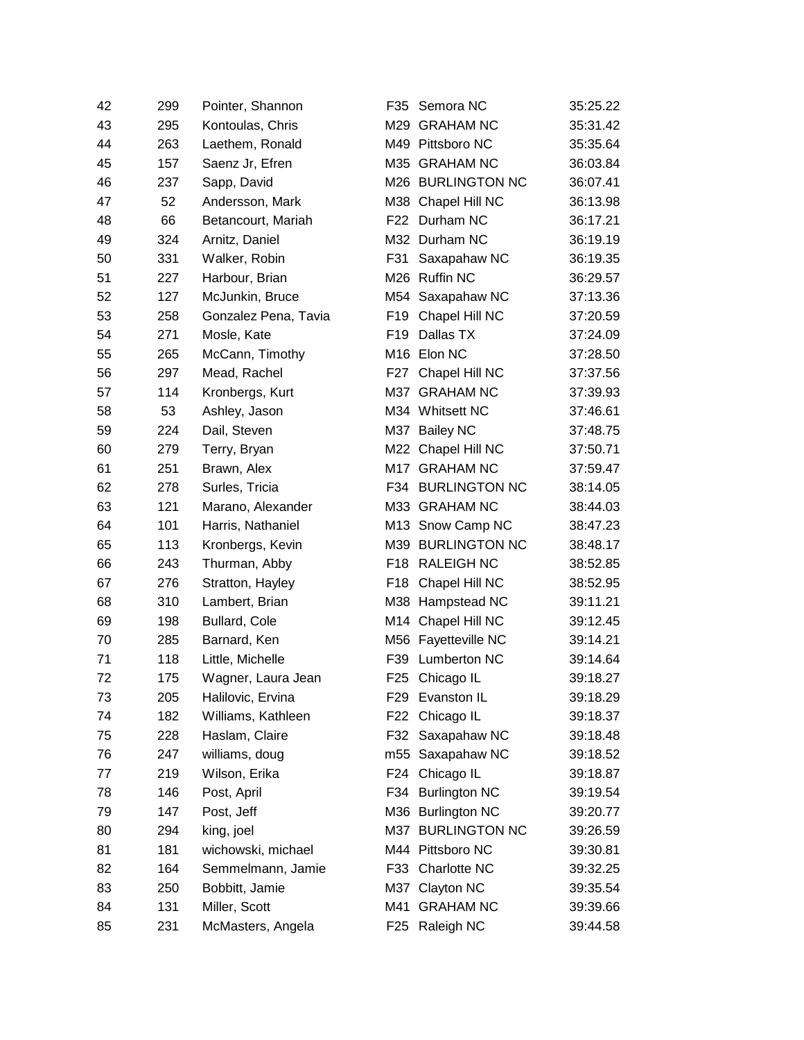| 42 | 299 | Pointer, Shannon     | F35             | Semora NC            | 35:25.22 |
|----|-----|----------------------|-----------------|----------------------|----------|
| 43 | 295 | Kontoulas, Chris     |                 | M29 GRAHAM NC        | 35:31.42 |
| 44 | 263 | Laethem, Ronald      |                 | M49 Pittsboro NC     | 35:35.64 |
| 45 | 157 | Saenz Jr, Efren      |                 | M35 GRAHAM NC        | 36:03.84 |
| 46 | 237 | Sapp, David          |                 | M26 BURLINGTON NC    | 36:07.41 |
| 47 | 52  | Andersson, Mark      |                 | M38 Chapel Hill NC   | 36:13.98 |
| 48 | 66  | Betancourt, Mariah   |                 | F22 Durham NC        | 36:17.21 |
| 49 | 324 | Arnitz, Daniel       |                 | M32 Durham NC        | 36:19.19 |
| 50 | 331 | Walker, Robin        | F31             | Saxapahaw NC         | 36:19.35 |
| 51 | 227 | Harbour, Brian       |                 | M26 Ruffin NC        | 36:29.57 |
| 52 | 127 | McJunkin, Bruce      |                 | M54 Saxapahaw NC     | 37:13.36 |
| 53 | 258 | Gonzalez Pena, Tavia | F19             | Chapel Hill NC       | 37:20.59 |
| 54 | 271 | Mosle, Kate          | F <sub>19</sub> | Dallas TX            | 37:24.09 |
| 55 | 265 | McCann, Timothy      |                 | M16 Elon NC          | 37:28.50 |
| 56 | 297 | Mead, Rachel         |                 | F27 Chapel Hill NC   | 37:37.56 |
| 57 | 114 | Kronbergs, Kurt      |                 | M37 GRAHAM NC        | 37:39.93 |
| 58 | 53  | Ashley, Jason        |                 | M34 Whitsett NC      | 37:46.61 |
| 59 | 224 | Dail, Steven         |                 | M37 Bailey NC        | 37:48.75 |
| 60 | 279 | Terry, Bryan         |                 | M22 Chapel Hill NC   | 37:50.71 |
| 61 | 251 | Brawn, Alex          |                 | M17 GRAHAM NC        | 37:59.47 |
| 62 | 278 | Surles, Tricia       |                 | F34 BURLINGTON NC    | 38:14.05 |
| 63 | 121 | Marano, Alexander    |                 | M33 GRAHAM NC        | 38:44.03 |
| 64 | 101 | Harris, Nathaniel    |                 | M13 Snow Camp NC     | 38:47.23 |
| 65 | 113 | Kronbergs, Kevin     |                 | M39 BURLINGTON NC    | 38:48.17 |
| 66 | 243 | Thurman, Abby        |                 | F18 RALEIGH NC       | 38:52.85 |
| 67 | 276 | Stratton, Hayley     | F <sub>18</sub> | Chapel Hill NC       | 38:52.95 |
| 68 | 310 | Lambert, Brian       |                 | M38 Hampstead NC     | 39:11.21 |
| 69 | 198 | Bullard, Cole        |                 | M14 Chapel Hill NC   | 39:12.45 |
| 70 | 285 | Barnard, Ken         |                 | M56 Fayetteville NC  | 39:14.21 |
| 71 | 118 | Little, Michelle     | F39             | <b>Lumberton NC</b>  | 39:14.64 |
| 72 | 175 | Wagner, Laura Jean   |                 | F25 Chicago IL       | 39:18.27 |
| 73 | 205 | Halilovic, Ervina    |                 | F29 Evanston IL      | 39:18.29 |
| 74 | 182 | Williams, Kathleen   | F <sub>22</sub> | Chicago IL           | 39:18.37 |
| 75 | 228 | Haslam, Claire       |                 | F32 Saxapahaw NC     | 39:18.48 |
| 76 | 247 | williams, doug       |                 | m55 Saxapahaw NC     | 39:18.52 |
| 77 | 219 | Wilson, Erika        | F24             | Chicago IL           | 39:18.87 |
| 78 | 146 | Post, April          | F34             | <b>Burlington NC</b> | 39:19.54 |
| 79 | 147 | Post, Jeff           |                 | M36 Burlington NC    | 39:20.77 |
| 80 | 294 | king, joel           |                 | M37 BURLINGTON NC    | 39:26.59 |
| 81 | 181 | wichowski, michael   |                 | M44 Pittsboro NC     | 39:30.81 |
| 82 | 164 | Semmelmann, Jamie    |                 | F33 Charlotte NC     | 39:32.25 |
| 83 | 250 | Bobbitt, Jamie       | M37             | Clayton NC           | 39:35.54 |
| 84 | 131 | Miller, Scott        | M41             | <b>GRAHAM NC</b>     | 39:39.66 |
| 85 | 231 | McMasters, Angela    |                 | F25 Raleigh NC       | 39:44.58 |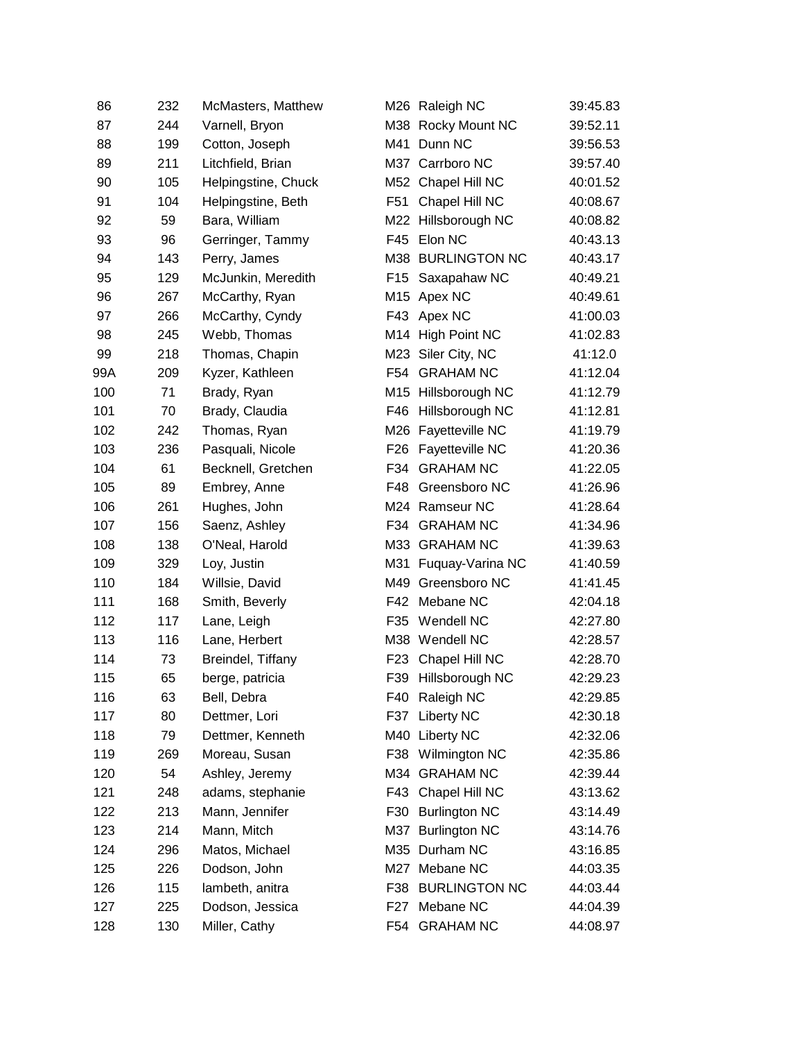| 86  | 232 | McMasters, Matthew  |                 | M26 Raleigh NC          | 39:45.83 |
|-----|-----|---------------------|-----------------|-------------------------|----------|
| 87  | 244 | Varnell, Bryon      |                 | M38 Rocky Mount NC      | 39:52.11 |
| 88  | 199 | Cotton, Joseph      |                 | M41 Dunn NC             | 39:56.53 |
| 89  | 211 | Litchfield, Brian   |                 | M37 Carrboro NC         | 39:57.40 |
| 90  | 105 | Helpingstine, Chuck |                 | M52 Chapel Hill NC      | 40:01.52 |
| 91  | 104 | Helpingstine, Beth  | F <sub>51</sub> | Chapel Hill NC          | 40:08.67 |
| 92  | 59  | Bara, William       |                 | M22 Hillsborough NC     | 40:08.82 |
| 93  | 96  | Gerringer, Tammy    | F45             | Elon NC                 | 40:43.13 |
| 94  | 143 | Perry, James        |                 | M38 BURLINGTON NC       | 40:43.17 |
| 95  | 129 | McJunkin, Meredith  |                 | F15 Saxapahaw NC        | 40:49.21 |
| 96  | 267 | McCarthy, Ryan      |                 | M <sub>15</sub> Apex NC | 40:49.61 |
| 97  | 266 | McCarthy, Cyndy     |                 | F43 Apex NC             | 41:00.03 |
| 98  | 245 | Webb, Thomas        |                 | M14 High Point NC       | 41:02.83 |
| 99  | 218 | Thomas, Chapin      |                 | M23 Siler City, NC      | 41:12.0  |
| 99A | 209 | Kyzer, Kathleen     |                 | F54 GRAHAM NC           | 41:12.04 |
| 100 | 71  | Brady, Ryan         | M15             | Hillsborough NC         | 41:12.79 |
| 101 | 70  | Brady, Claudia      | F46             | Hillsborough NC         | 41:12.81 |
| 102 | 242 | Thomas, Ryan        | M26             | Fayetteville NC         | 41:19.79 |
| 103 | 236 | Pasquali, Nicole    | F <sub>26</sub> | Fayetteville NC         | 41:20.36 |
| 104 | 61  | Becknell, Gretchen  | F34             | <b>GRAHAM NC</b>        | 41:22.05 |
| 105 | 89  | Embrey, Anne        | F48             | Greensboro NC           | 41:26.96 |
| 106 | 261 | Hughes, John        |                 | M24 Ramseur NC          | 41:28.64 |
| 107 | 156 | Saenz, Ashley       | F34             | <b>GRAHAM NC</b>        | 41:34.96 |
| 108 | 138 | O'Neal, Harold      |                 | M33 GRAHAM NC           | 41:39.63 |
| 109 | 329 | Loy, Justin         | M31             | Fuquay-Varina NC        | 41:40.59 |
| 110 | 184 | Willsie, David      | M49             | Greensboro NC           | 41:41.45 |
| 111 | 168 | Smith, Beverly      | F42             | Mebane NC               | 42:04.18 |
| 112 | 117 | Lane, Leigh         | F35             | <b>Wendell NC</b>       | 42:27.80 |
| 113 | 116 | Lane, Herbert       |                 | M38 Wendell NC          | 42:28.57 |
| 114 | 73  | Breindel, Tiffany   | F <sub>23</sub> | Chapel Hill NC          | 42:28.70 |
| 115 | 65  | berge, patricia     | F39             | Hillsborough NC         | 42:29.23 |
| 116 | 63  | Bell, Debra         | F40             | Raleigh NC              | 42:29.85 |
| 117 | 80  | Dettmer, Lori       | F37             | Liberty NC              | 42:30.18 |
| 118 | 79  | Dettmer, Kenneth    |                 | M40 Liberty NC          | 42:32.06 |
| 119 | 269 | Moreau, Susan       | F38             | Wilmington NC           | 42:35.86 |
| 120 | 54  | Ashley, Jeremy      |                 | M34 GRAHAM NC           | 42:39.44 |
| 121 | 248 | adams, stephanie    | F43             | Chapel Hill NC          | 43:13.62 |
| 122 | 213 | Mann, Jennifer      | F30             | <b>Burlington NC</b>    | 43:14.49 |
| 123 | 214 | Mann, Mitch         | M37             | <b>Burlington NC</b>    | 43:14.76 |
| 124 | 296 | Matos, Michael      | M35             | Durham NC               | 43:16.85 |
| 125 | 226 | Dodson, John        |                 | M27 Mebane NC           | 44:03.35 |
| 126 | 115 | lambeth, anitra     | F38             | <b>BURLINGTON NC</b>    | 44:03.44 |
| 127 | 225 | Dodson, Jessica     | F27             | Mebane NC               | 44:04.39 |
| 128 | 130 | Miller, Cathy       |                 | F54 GRAHAM NC           | 44:08.97 |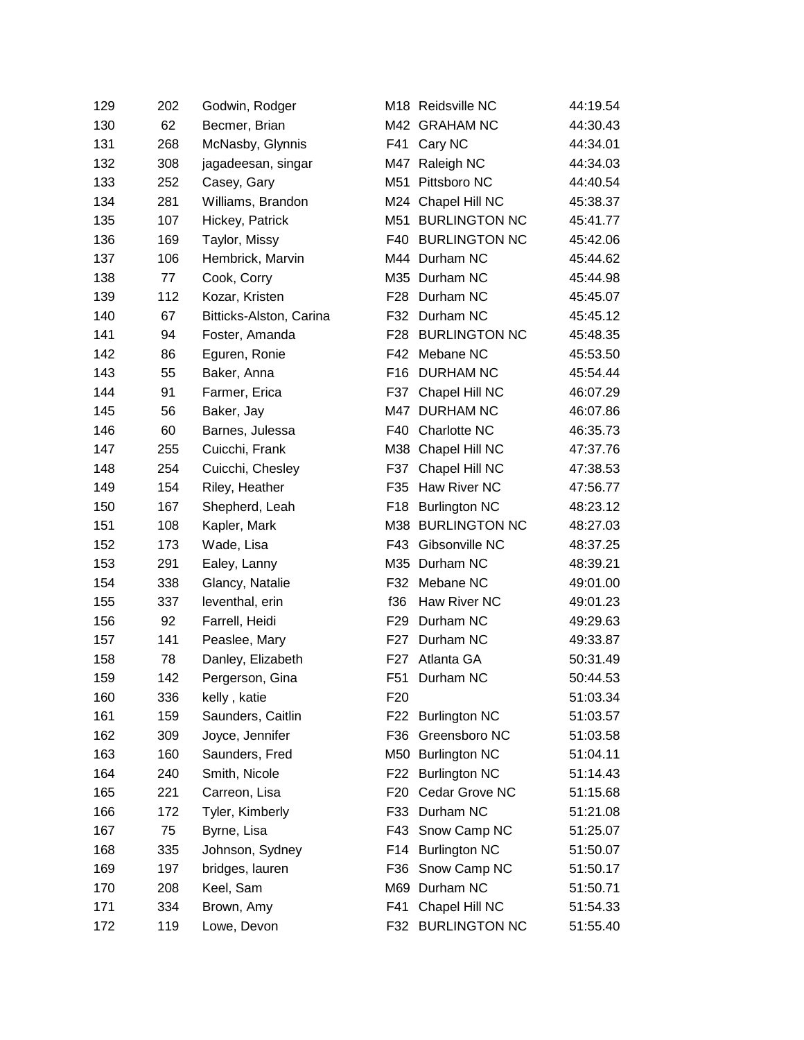| 129 | 202 | Godwin, Rodger          |                 | M18 Reidsville NC    | 44:19.54 |
|-----|-----|-------------------------|-----------------|----------------------|----------|
| 130 | 62  | Becmer, Brian           |                 | M42 GRAHAM NC        | 44:30.43 |
| 131 | 268 | McNasby, Glynnis        |                 | F41 Cary NC          | 44:34.01 |
| 132 | 308 | jagadeesan, singar      |                 | M47 Raleigh NC       | 44:34.03 |
| 133 | 252 | Casey, Gary             | M51             | Pittsboro NC         | 44:40.54 |
| 134 | 281 | Williams, Brandon       |                 | M24 Chapel Hill NC   | 45:38.37 |
| 135 | 107 | Hickey, Patrick         | M51             | <b>BURLINGTON NC</b> | 45:41.77 |
| 136 | 169 | Taylor, Missy           | F40             | <b>BURLINGTON NC</b> | 45:42.06 |
| 137 | 106 | Hembrick, Marvin        |                 | M44 Durham NC        | 45:44.62 |
| 138 | 77  | Cook, Corry             |                 | M35 Durham NC        | 45:44.98 |
| 139 | 112 | Kozar, Kristen          | F28             | Durham NC            | 45:45.07 |
| 140 | 67  | Bitticks-Alston, Carina |                 | F32 Durham NC        | 45:45.12 |
| 141 | 94  | Foster, Amanda          | F28             | <b>BURLINGTON NC</b> | 45:48.35 |
| 142 | 86  | Eguren, Ronie           | F42             | Mebane NC            | 45:53.50 |
| 143 | 55  | Baker, Anna             | F16             | <b>DURHAM NC</b>     | 45:54.44 |
| 144 | 91  | Farmer, Erica           | F37             | Chapel Hill NC       | 46:07.29 |
| 145 | 56  | Baker, Jay              |                 | M47 DURHAM NC        | 46:07.86 |
| 146 | 60  | Barnes, Julessa         | F40             | Charlotte NC         | 46:35.73 |
| 147 | 255 | Cuicchi, Frank          | M38             | Chapel Hill NC       | 47:37.76 |
| 148 | 254 | Cuicchi, Chesley        | F37             | Chapel Hill NC       | 47:38.53 |
| 149 | 154 | Riley, Heather          | F35             | Haw River NC         | 47:56.77 |
| 150 | 167 | Shepherd, Leah          | F <sub>18</sub> | <b>Burlington NC</b> | 48:23.12 |
| 151 | 108 | Kapler, Mark            |                 | M38 BURLINGTON NC    | 48:27.03 |
| 152 | 173 | Wade, Lisa              | F43             | Gibsonville NC       | 48:37.25 |
| 153 | 291 | Ealey, Lanny            |                 | M35 Durham NC        | 48:39.21 |
| 154 | 338 | Glancy, Natalie         | F32             | Mebane NC            | 49:01.00 |
| 155 | 337 | leventhal, erin         | f36             | Haw River NC         | 49:01.23 |
| 156 | 92  | Farrell, Heidi          | F29             | Durham NC            | 49:29.63 |
| 157 | 141 | Peaslee, Mary           |                 | F27 Durham NC        | 49:33.87 |
| 158 | 78  | Danley, Elizabeth       | F27             | Atlanta GA           | 50:31.49 |
| 159 | 142 | Pergerson, Gina         | F51             | Durham NC            | 50:44.53 |
| 160 | 336 | kelly, katie            | F <sub>20</sub> |                      | 51:03.34 |
| 161 | 159 | Saunders, Caitlin       | F22             | <b>Burlington NC</b> | 51:03.57 |
| 162 | 309 | Joyce, Jennifer         | F36             | Greensboro NC        | 51:03.58 |
| 163 | 160 | Saunders, Fred          |                 | M50 Burlington NC    | 51:04.11 |
| 164 | 240 | Smith, Nicole           | F22             | <b>Burlington NC</b> | 51:14.43 |
| 165 | 221 | Carreon, Lisa           | F20             | Cedar Grove NC       | 51:15.68 |
| 166 | 172 | Tyler, Kimberly         | F33             | Durham NC            | 51:21.08 |
| 167 | 75  | Byrne, Lisa             | F43             | Snow Camp NC         | 51:25.07 |
| 168 | 335 | Johnson, Sydney         | F14             | <b>Burlington NC</b> | 51:50.07 |
| 169 | 197 | bridges, lauren         | F36             | Snow Camp NC         | 51:50.17 |
| 170 | 208 | Keel, Sam               | M69             | Durham NC            | 51:50.71 |
| 171 | 334 | Brown, Amy              | F41             | Chapel Hill NC       | 51:54.33 |
| 172 | 119 | Lowe, Devon             |                 | F32 BURLINGTON NC    | 51:55.40 |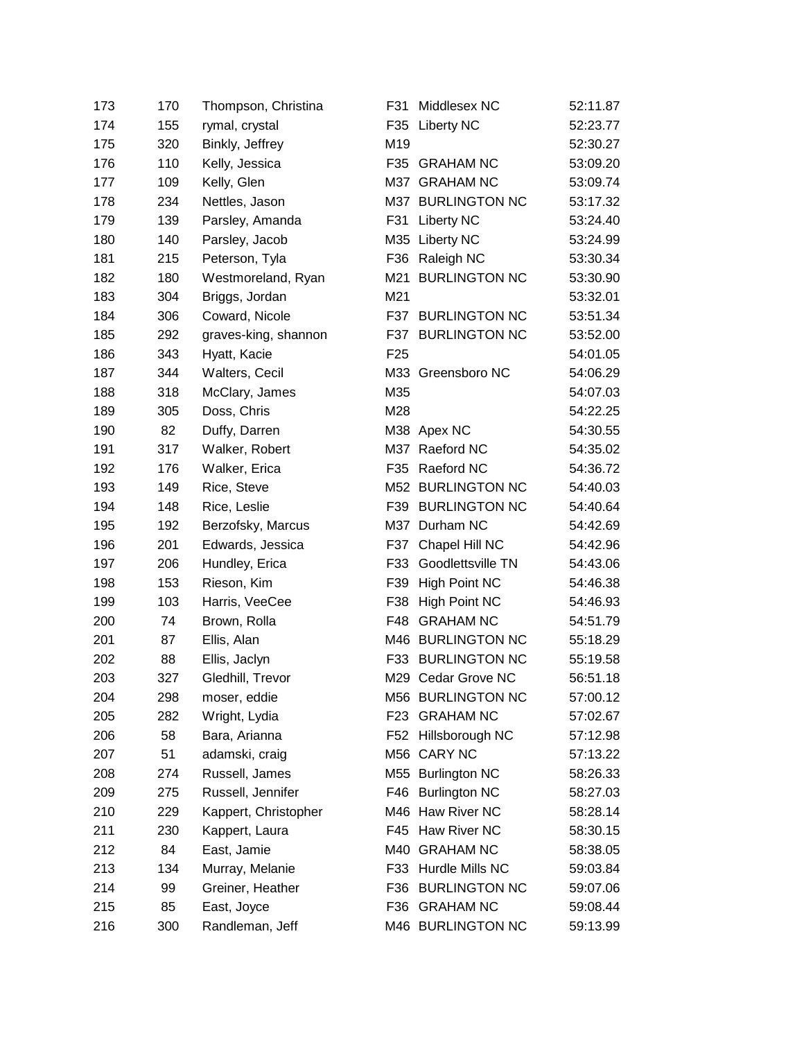| 173 | 170 | Thompson, Christina  | F31             | Middlesex NC             | 52:11.87 |
|-----|-----|----------------------|-----------------|--------------------------|----------|
| 174 | 155 | rymal, crystal       | F <sub>35</sub> | <b>Liberty NC</b>        | 52:23.77 |
| 175 | 320 | Binkly, Jeffrey      | M19             |                          | 52:30.27 |
| 176 | 110 | Kelly, Jessica       | F35             | <b>GRAHAM NC</b>         | 53:09.20 |
| 177 | 109 | Kelly, Glen          |                 | M37 GRAHAM NC            | 53:09.74 |
| 178 | 234 | Nettles, Jason       |                 | M37 BURLINGTON NC        | 53:17.32 |
| 179 | 139 | Parsley, Amanda      | F31             | <b>Liberty NC</b>        | 53:24.40 |
| 180 | 140 | Parsley, Jacob       |                 | M35 Liberty NC           | 53:24.99 |
| 181 | 215 | Peterson, Tyla       |                 | F36 Raleigh NC           | 53:30.34 |
| 182 | 180 | Westmoreland, Ryan   | M21             | <b>BURLINGTON NC</b>     | 53:30.90 |
| 183 | 304 | Briggs, Jordan       | M21             |                          | 53:32.01 |
| 184 | 306 | Coward, Nicole       | F37             | <b>BURLINGTON NC</b>     | 53:51.34 |
| 185 | 292 | graves-king, shannon |                 | F37 BURLINGTON NC        | 53:52.00 |
| 186 | 343 | Hyatt, Kacie         | F <sub>25</sub> |                          | 54:01.05 |
| 187 | 344 | Walters, Cecil       |                 | M33 Greensboro NC        | 54:06.29 |
| 188 | 318 | McClary, James       | M35             |                          | 54:07.03 |
| 189 | 305 | Doss, Chris          | M28             |                          | 54:22.25 |
| 190 | 82  | Duffy, Darren        |                 | M38 Apex NC              | 54:30.55 |
| 191 | 317 | Walker, Robert       |                 | M37 Raeford NC           | 54:35.02 |
| 192 | 176 | Walker, Erica        | F35             | Raeford NC               | 54:36.72 |
| 193 | 149 | Rice, Steve          |                 | M52 BURLINGTON NC        | 54:40.03 |
| 194 | 148 | Rice, Leslie         |                 | F39 BURLINGTON NC        | 54:40.64 |
| 195 | 192 | Berzofsky, Marcus    |                 | M37 Durham NC            | 54:42.69 |
| 196 | 201 | Edwards, Jessica     | F37             | Chapel Hill NC           | 54:42.96 |
| 197 | 206 | Hundley, Erica       | F33             | <b>Goodlettsville TN</b> | 54:43.06 |
| 198 | 153 | Rieson, Kim          | F39             | <b>High Point NC</b>     | 54:46.38 |
| 199 | 103 | Harris, VeeCee       | F38             | High Point NC            | 54:46.93 |
| 200 | 74  | Brown, Rolla         | F48             | <b>GRAHAM NC</b>         | 54:51.79 |
| 201 | 87  | Ellis, Alan          |                 | M46 BURLINGTON NC        | 55:18.29 |
| 202 | 88  | Ellis, Jaclyn        |                 | F33 BURLINGTON NC        | 55:19.58 |
| 203 | 327 | Gledhill, Trevor     |                 | M29 Cedar Grove NC       | 56:51.18 |
| 204 | 298 | moser, eddie         |                 | M56 BURLINGTON NC        | 57:00.12 |
| 205 | 282 | Wright, Lydia        | F23             | <b>GRAHAM NC</b>         | 57:02.67 |
| 206 | 58  | Bara, Arianna        |                 | F52 Hillsborough NC      | 57:12.98 |
| 207 | 51  | adamski, craig       |                 | M56 CARY NC              | 57:13.22 |
| 208 | 274 | Russell, James       | M55             | <b>Burlington NC</b>     | 58:26.33 |
| 209 | 275 | Russell, Jennifer    |                 | F46 Burlington NC        | 58:27.03 |
| 210 | 229 | Kappert, Christopher |                 | M46 Haw River NC         | 58:28.14 |
| 211 | 230 | Kappert, Laura       | F45             | <b>Haw River NC</b>      | 58:30.15 |
| 212 | 84  | East, Jamie          | M40             | <b>GRAHAM NC</b>         | 58:38.05 |
| 213 | 134 | Murray, Melanie      | F33             | Hurdle Mills NC          | 59:03.84 |
| 214 | 99  | Greiner, Heather     | F36             | <b>BURLINGTON NC</b>     | 59:07.06 |
| 215 | 85  | East, Joyce          | F36             | <b>GRAHAM NC</b>         | 59:08.44 |
| 216 | 300 | Randleman, Jeff      |                 | M46 BURLINGTON NC        | 59:13.99 |